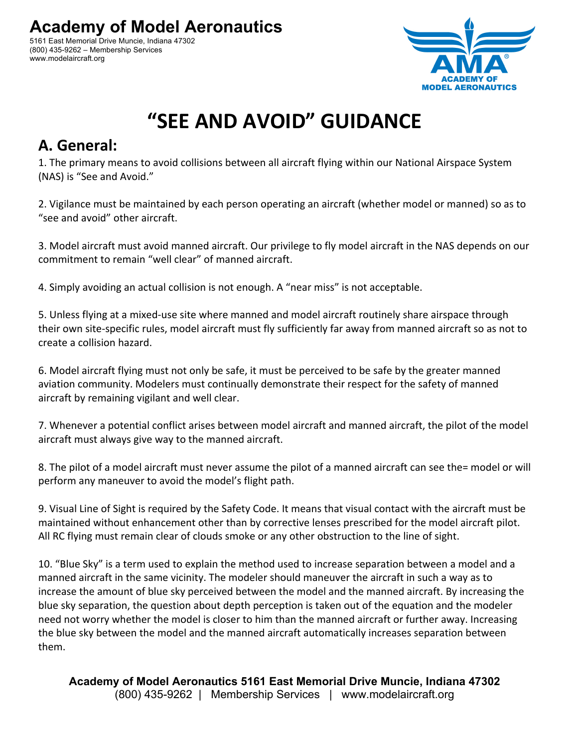5161 East Memorial Drive Muncie, Indiana 47302 (800) 435-9262 – Membership Services www.modelaircraft.org



## **"SEE AND AVOID" GUIDANCE**

## **A. General:**

1. The primary means to avoid collisions between all aircraft flying within our National Airspace System (NAS) is "See and Avoid."

2. Vigilance must be maintained by each person operating an aircraft (whether model or manned) so as to "see and avoid" other aircraft.

3. Model aircraft must avoid manned aircraft. Our privilege to fly model aircraft in the NAS depends on our commitment to remain "well clear" of manned aircraft.

4. Simply avoiding an actual collision is not enough. A "near miss" is not acceptable.

5. Unless flying at a mixed-use site where manned and model aircraft routinely share airspace through their own site-specific rules, model aircraft must fly sufficiently far away from manned aircraft so as not to create a collision hazard.

6. Model aircraft flying must not only be safe, it must be perceived to be safe by the greater manned aviation community. Modelers must continually demonstrate their respect for the safety of manned aircraft by remaining vigilant and well clear.

7. Whenever a potential conflict arises between model aircraft and manned aircraft, the pilot of the model aircraft must always give way to the manned aircraft.

8. The pilot of a model aircraft must never assume the pilot of a manned aircraft can see the= model or will perform any maneuver to avoid the model's flight path.

9. Visual Line of Sight is required by the Safety Code. It means that visual contact with the aircraft must be maintained without enhancement other than by corrective lenses prescribed for the model aircraft pilot. All RC flying must remain clear of clouds smoke or any other obstruction to the line of sight.

10. "Blue Sky" is a term used to explain the method used to increase separation between a model and a manned aircraft in the same vicinity. The modeler should maneuver the aircraft in such a way as to increase the amount of blue sky perceived between the model and the manned aircraft. By increasing the blue sky separation, the question about depth perception is taken out of the equation and the modeler need not worry whether the model is closer to him than the manned aircraft or further away. Increasing the blue sky between the model and the manned aircraft automatically increases separation between them.

**Academy of Model Aeronautics 5161 East Memorial Drive Muncie, Indiana 47302** (800) 435-9262 | Membership Services | www.modelaircraft.org